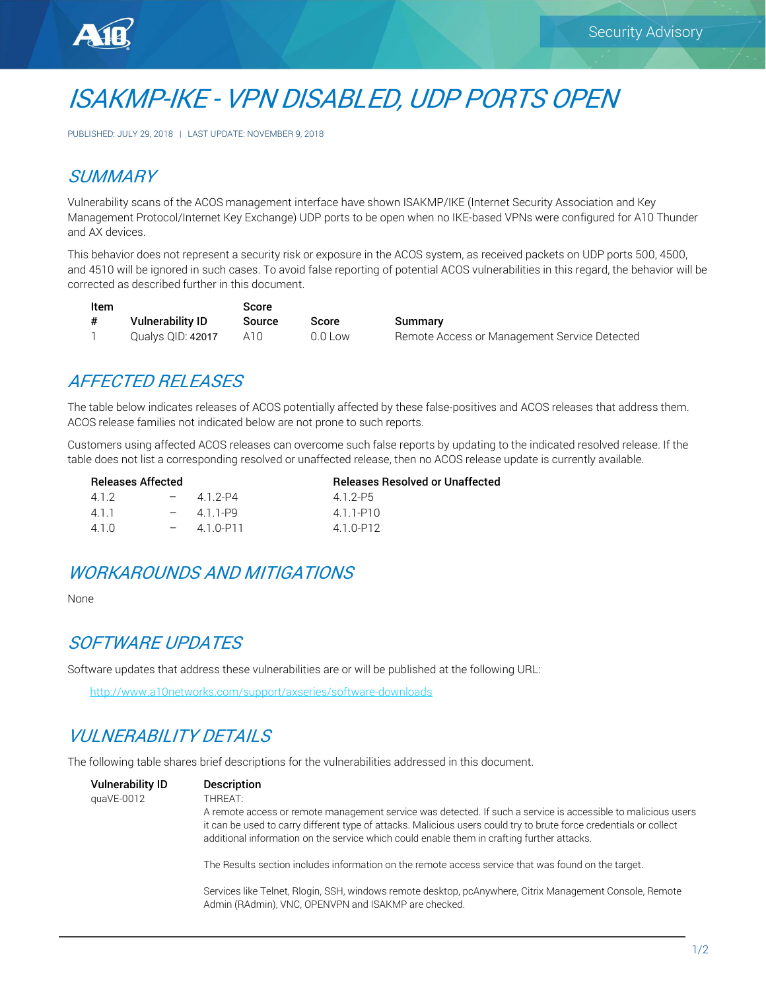

# ISAKMP-IKE - VPN DISABLED, UDP PORTS OPEN

PUBLISHED: JULY 29, 2018 | LAST UPDATE: NOVEMBER 9, 2018

### **SUMMARY**

Vulnerability scans of the ACOS management interface have shown ISAKMP/IKE (Internet Security Association and Key Management Protocol/Internet Key Exchange) UDP ports to be open when no IKE-based VPNs were configured for A10 Thunder and AX devices.

This behavior does not represent a security risk or exposure in the ACOS system, as received packets on UDP ports 500, 4500, and 4510 will be ignored in such cases. To avoid false reporting of potential ACOS vulnerabilities in this regard, the behavior will be corrected as described further in this document.

| Item |                   | Score  |           |                                              |
|------|-------------------|--------|-----------|----------------------------------------------|
|      | Vulnerability ID  | Source | Score     | Summary                                      |
|      | Qualys QID: 42017 | A10.   | $0.0$ Low | Remote Access or Management Service Detected |

### AFFECTED RELEASES

The table below indicates releases of ACOS potentially affected by these false-positives and ACOS releases that address them. ACOS release families not indicated below are not prone to such reports.

Customers using affected ACOS releases can overcome such false reports by updating to the indicated resolved release. If the table does not list a corresponding resolved or unaffected release, then no ACOS release update is currently available.

| Releases Affected |              | <b>Releases Resolved or Unaffected</b> |
|-------------------|--------------|----------------------------------------|
| 412               | $-412-P4$    | 412-P5                                 |
| 411               | $-411-PQ$    | 411-P10                                |
| 4.1.0             | $-410 - P11$ | 4 1 0-P12                              |

## WORKAROUNDS AND MITIGATIONS

None

### SOFTWARE UPDATES

Software updates that address these vulnerabilities are or will be published at the following URL:

http://www.a10networks.com/support/axseries/software-downloads

## VULNERABILITY DETAILS

The following table shares brief descriptions for the vulnerabilities addressed in this document.

Vulnerability ID Description quaVE-0012 THREAT:

A remote access or remote management service was detected. If such a service is accessible to malicious users it can be used to carry different type of attacks. Malicious users could try to brute force credentials or collect additional information on the service which could enable them in crafting further attacks.

The Results section includes information on the remote access service that was found on the target.

Services like Telnet, Rlogin, SSH, windows remote desktop, pcAnywhere, Citrix Management Console, Remote Admin (RAdmin), VNC, OPENVPN and ISAKMP are checked.